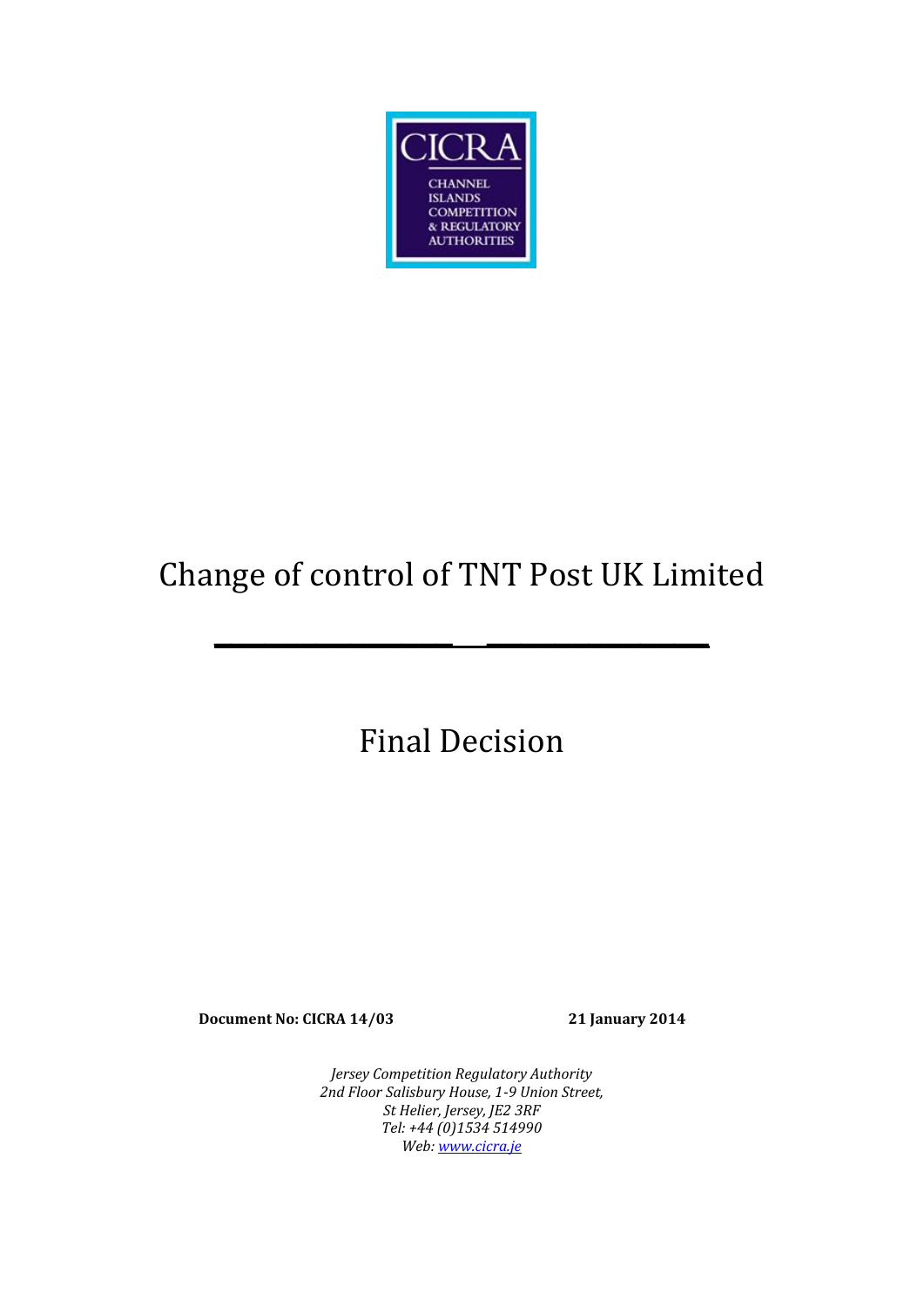

# Change of control of TNT Post UK Limited

**\_\_\_\_\_\_\_\_\_\_\_\_\_\_ \_\_\_\_\_\_\_\_\_\_\_\_\_**

Final Decision

**Document No: CICRA 14/03 21 January 2014**

*Jersey Competition Regulatory Authority 2nd Floor Salisbury House, 1-9 Union Street, St Helier, Jersey, JE2 3RF Tel: +44 (0)1534 514990 Web[: www.cicra.je](http://www.cicra.je/)*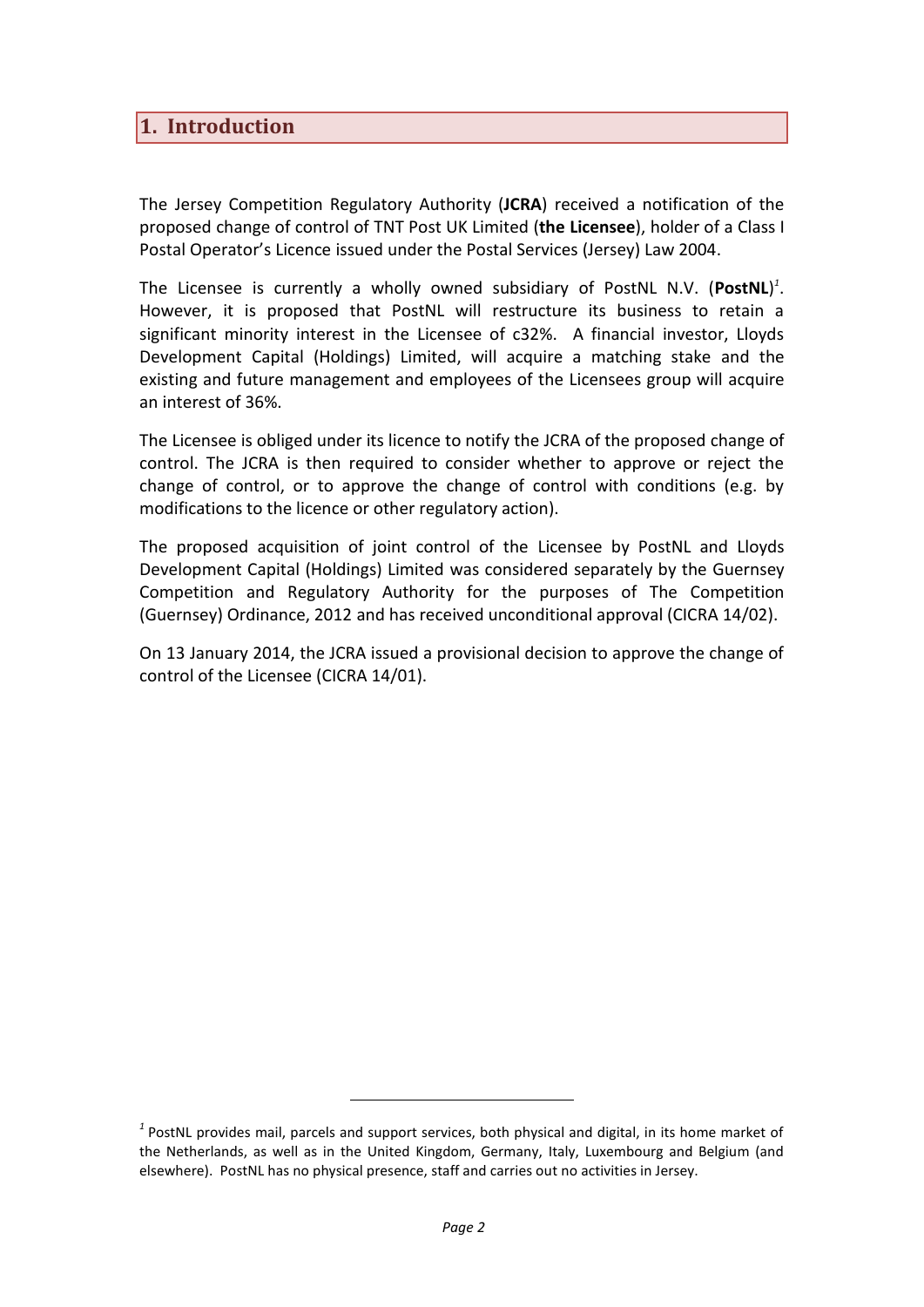### **1. Introduction**

The Jersey Competition Regulatory Authority (**JCRA**) received a notification of the proposed change of control of TNT Post UK Limited (**the Licensee**), holder of a Class I Postal Operator's Licence issued under the Postal Services (Jersey) Law 2004.

The Licensee is currently a wholly owned subsidiary of PostNL N.V. (**PostNL**) *1* . However, it is proposed that PostNL will restructure its business to retain a significant minority interest in the Licensee of c32%. A financial investor, Lloyds Development Capital (Holdings) Limited, will acquire a matching stake and the existing and future management and employees of the Licensees group will acquire an interest of 36%.

The Licensee is obliged under its licence to notify the JCRA of the proposed change of control. The JCRA is then required to consider whether to approve or reject the change of control, or to approve the change of control with conditions (e.g. by modifications to the licence or other regulatory action).

The proposed acquisition of joint control of the Licensee by PostNL and Lloyds Development Capital (Holdings) Limited was considered separately by the Guernsey Competition and Regulatory Authority for the purposes of The Competition (Guernsey) Ordinance, 2012 and has received unconditional approval (CICRA 14/02).

On 13 January 2014, the JCRA issued a provisional decision to approve the change of control of the Licensee (CICRA 14/01).

*<sup>1</sup>* PostNL provides mail, parcels and support services, both physical and digital, in its home market of the Netherlands, as well as in the United Kingdom, Germany, Italy, Luxembourg and Belgium (and elsewhere). PostNL has no physical presence, staff and carries out no activities in Jersey.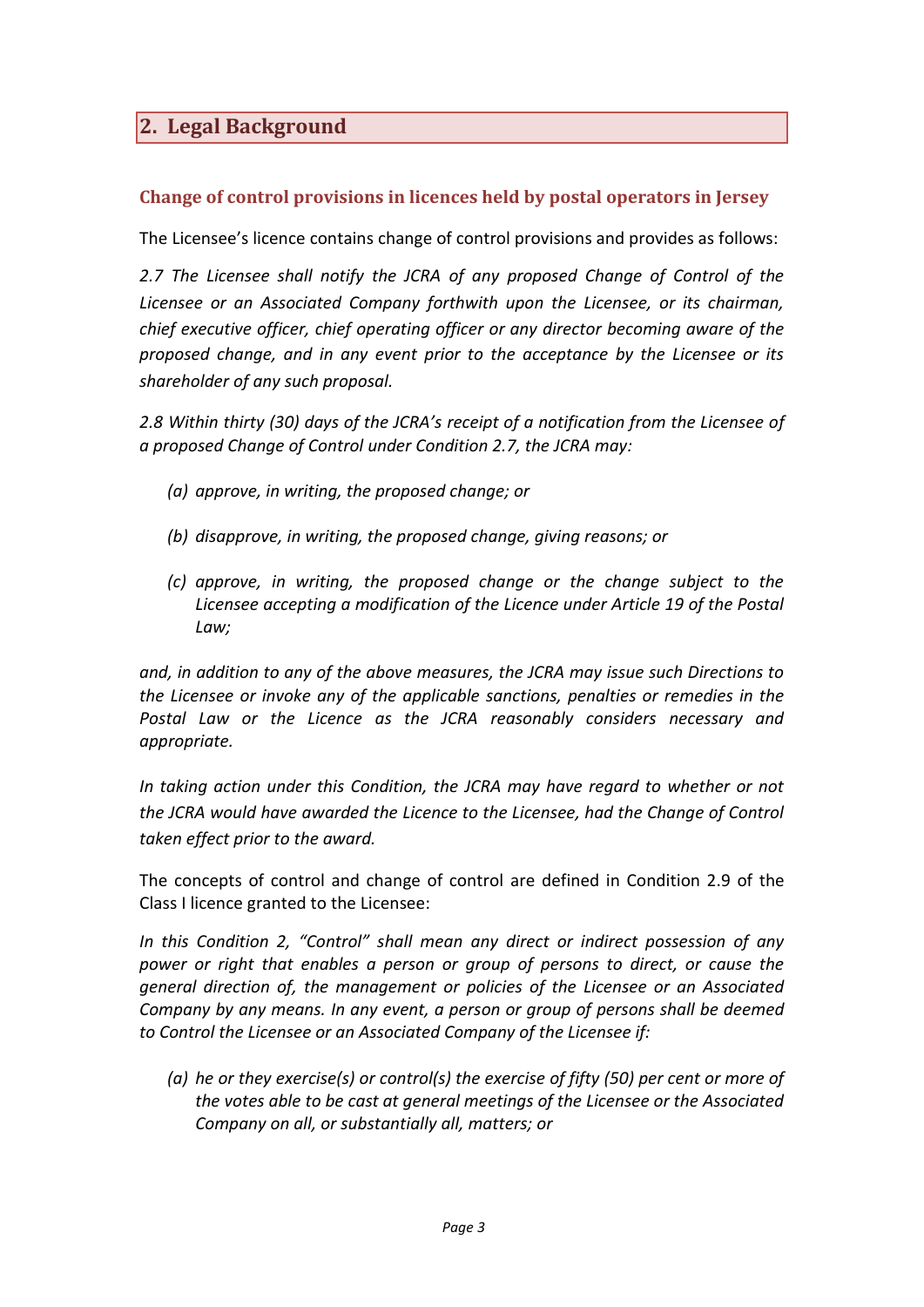# **2. Legal Background**

#### **Change of control provisions in licences held by postal operators in Jersey**

The Licensee's licence contains change of control provisions and provides as follows:

*2.7 The Licensee shall notify the JCRA of any proposed Change of Control of the Licensee or an Associated Company forthwith upon the Licensee, or its chairman, chief executive officer, chief operating officer or any director becoming aware of the proposed change, and in any event prior to the acceptance by the Licensee or its shareholder of any such proposal.*

*2.8 Within thirty (30) days of the JCRA's receipt of a notification from the Licensee of a proposed Change of Control under Condition 2.7, the JCRA may:* 

- *(a) approve, in writing, the proposed change; or*
- *(b) disapprove, in writing, the proposed change, giving reasons; or*
- *(c) approve, in writing, the proposed change or the change subject to the Licensee accepting a modification of the Licence under Article 19 of the Postal Law;*

*and, in addition to any of the above measures, the JCRA may issue such Directions to the Licensee or invoke any of the applicable sanctions, penalties or remedies in the Postal Law or the Licence as the JCRA reasonably considers necessary and appropriate.*

*In taking action under this Condition, the JCRA may have regard to whether or not the JCRA would have awarded the Licence to the Licensee, had the Change of Control taken effect prior to the award.*

The concepts of control and change of control are defined in Condition 2.9 of the Class I licence granted to the Licensee:

*In this Condition 2, "Control" shall mean any direct or indirect possession of any power or right that enables a person or group of persons to direct, or cause the general direction of, the management or policies of the Licensee or an Associated Company by any means. In any event, a person or group of persons shall be deemed to Control the Licensee or an Associated Company of the Licensee if:* 

*(a) he or they exercise(s) or control(s) the exercise of fifty (50) per cent or more of the votes able to be cast at general meetings of the Licensee or the Associated Company on all, or substantially all, matters; or*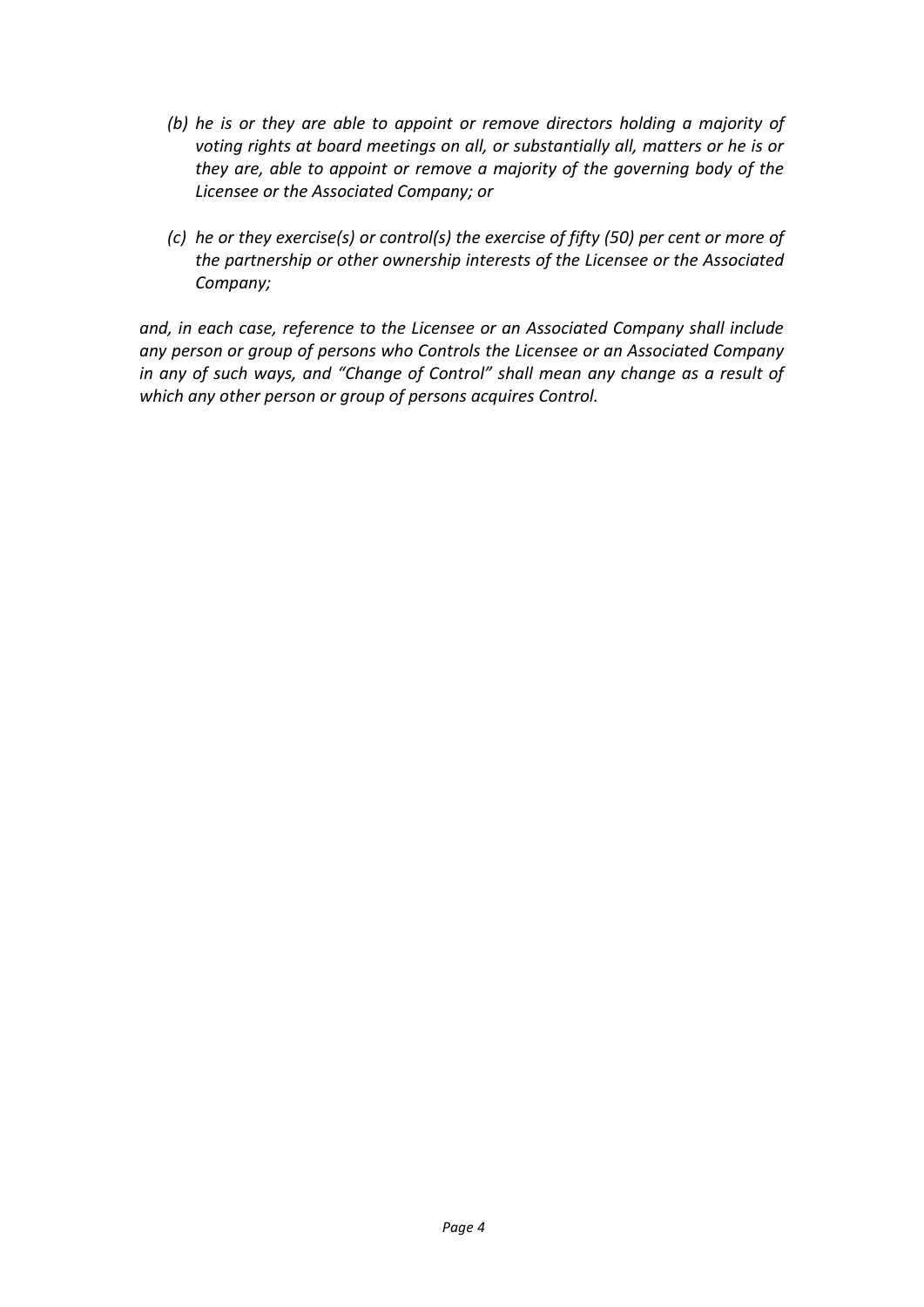- *(b) he is or they are able to appoint or remove directors holding a majority of*  voting rights at board meetings on all, or substantially all, matters or he is or *they are, able to appoint or remove a majority of the governing body of the Licensee or the Associated Company; or*
- *(c) he or they exercise(s) or control(s) the exercise of fifty (50) per cent or more of the partnership or other ownership interests of the Licensee or the Associated Company;*

*and, in each case, reference to the Licensee or an Associated Company shall include any person or group of persons who Controls the Licensee or an Associated Company in any of such ways, and "Change of Control" shall mean any change as a result of which any other person or group of persons acquires Control.*